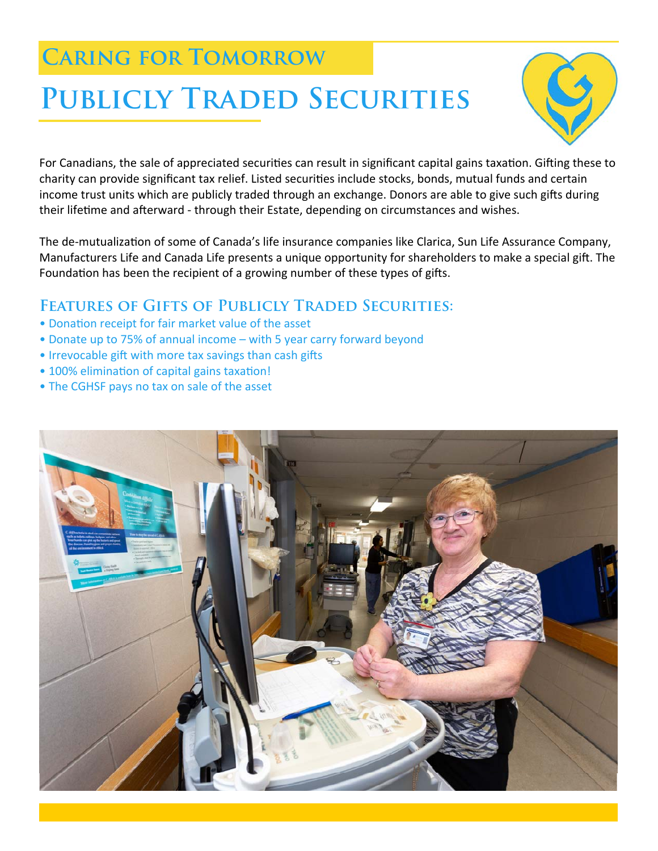# **Caring for Tomorrow**

# **Publicly Traded Securities**



For Canadians, the sale of appreciated securities can result in significant capital gains taxation. Gifting these to charity can provide significant tax relief. Listed securities include stocks, bonds, mutual funds and certain income trust units which are publicly traded through an exchange. Donors are able to give such gifts during their lifetime and afterward - through their Estate, depending on circumstances and wishes.

The de-mutualization of some of Canada's life insurance companies like Clarica, Sun Life Assurance Company, Manufacturers Life and Canada Life presents a unique opportunity for shareholders to make a special gift. The Foundation has been the recipient of a growing number of these types of gifts.

## **Features of Gifts of Publicly Traded Securities:**

- Donation receipt for fair market value of the asset
- Donate up to 75% of annual income with 5 year carry forward beyond
- Irrevocable gift with more tax savings than cash gifts
- 100% elimination of capital gains taxation!
- The CGHSF pays no tax on sale of the asset